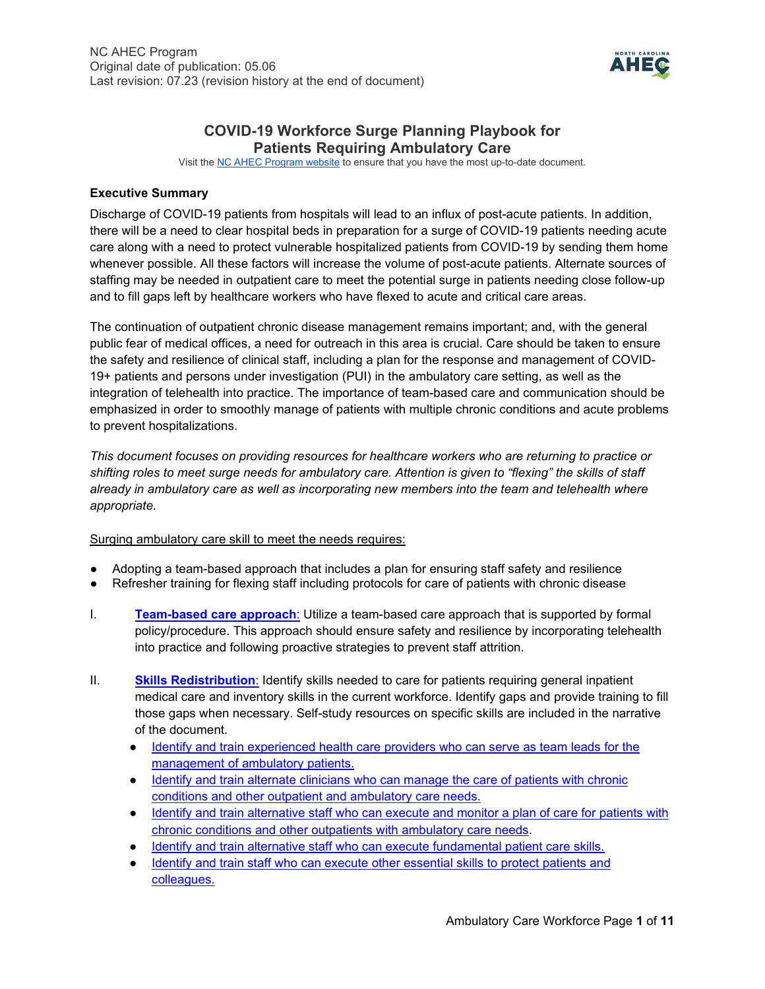

# **COVID-19 Workforce Surge Planning Playbook for Patients Requiring Ambulatory Care**

Visit th[e NC AHEC Program website](https://www.ncahec.net/covid-19/training-and-literature-for-health-care-professionals/workforce-surge-planning-playbooks/) to ensure that you have the most up-to-date document.

## **Executive Summary**

Discharge of COVID-19 patients from hospitals will lead to an influx of post-acute patients. In addition, there will be a need to clear hospital beds in preparation for a surge of COVID-19 patients needing acute care along with a need to protect vulnerable hospitalized patients from COVID-19 by sending them home whenever possible. All these factors will increase the volume of post-acute patients. Alternate sources of staffing may be needed in outpatient care to meet the potential surge in patients needing close follow-up and to fill gaps left by healthcare workers who have flexed to acute and critical care areas.

The continuation of outpatient chronic disease management remains important; and, with the general public fear of medical offices, a need for outreach in this area is crucial. Care should be taken to ensure the safety and resilience of clinical staff, including a plan for the response and management of COVID-19+ patients and persons under investigation (PUI) in the ambulatory care setting, as well as the integration of telehealth into practice. The importance of team-based care and communication should be emphasized in order to smoothly manage of patients with multiple chronic conditions and acute problems to prevent hospitalizations.

*This document focuses on providing resources for healthcare workers who are returning to practice or shifting roles to meet surge needs for ambulatory care. Attention is given to "flexing" the skills of staff already in ambulatory care as well as incorporating new members into the team and telehealth where appropriate.* 

Surging ambulatory care skill to meet the needs requires:

- Adopting a team-based approach that includes a plan for ensuring staff safety and resilience
- Refresher training for flexing staff including protocols for care of patients with chronic disease
- I. **[Team-based care approach](#page-1-0)**[:](#page-1-0) Utilize a team-based care approach that is supported by formal policy/procedure. This approach should ensure safety and resilience by incorporating telehealth into practice and following proactive strategies to prevent staff attrition.
- II. **[Skills Redistribution](#page-3-0)**[:](#page-3-0) Identify skills needed to care for patients requiring general inpatient medical care and inventory skills in the current workforce. Identify gaps and provide training to fill those gaps when necessary. Self-study resources on specific skills are included in the narrative of the document.
	- Identify and train experienced health care providers who can serve as team leads for the [management of ambulatory patients.](#page-4-0)
	- Identify and train alternate clinicians who can manage the care of patients with chronic [conditions and other outpatient and](#page-4-1) ambulatory care needs.
	- Identify and train alternative staff who can execute and monitor a plan of care for patients with [chronic conditions and other outpatients with ambulatory care needs.](#page-6-0)
	- [Identify and train alternative staff who can execute fundamental patient care skills.](#page-7-0)
	- Identify and train staff who can execute other essential skills to protect patients and [colleagues.](#page-8-0)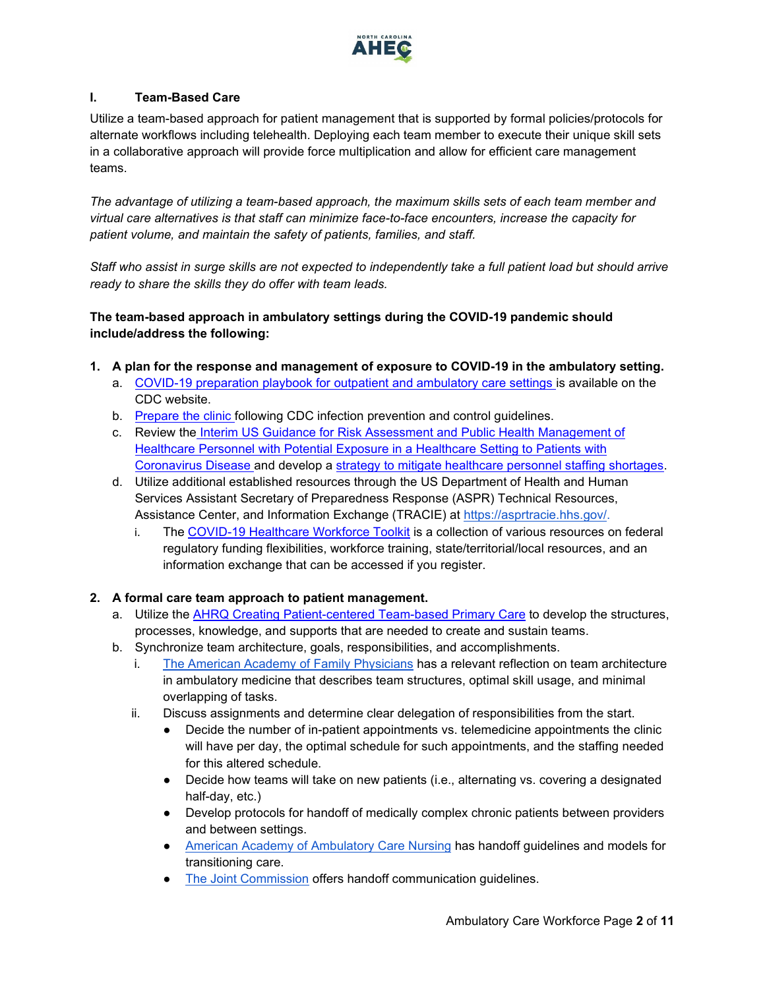

## <span id="page-1-0"></span>**I. Team-Based Care**

Utilize a team-based approach for patient management that is supported by formal policies/protocols for alternate workflows including telehealth. Deploying each team member to execute their unique skill sets in a collaborative approach will provide force multiplication and allow for efficient care management teams.

*The advantage of utilizing a team-based approach, the maximum skills sets of each team member and virtual care alternatives is that staff can minimize face-to-face encounters, increase the capacity for patient volume, and maintain the safety of patients, families, and staff.*

*Staff who assist in surge skills are not expected to independently take a full patient load but should arrive ready to share the skills they do offer with team leads.*

# **The team-based approach in ambulatory settings during the COVID-19 pandemic should include/address the following:**

- <span id="page-1-1"></span>**1. A plan for the response and management of exposure to COVID-19 in the ambulatory setting.**
	- a. [COVID-19 preparation playbook for outpatient and ambulatory care settings is](https://www.cdc.gov/coronavirus/2019-ncov/hcp/ambulatory-care-settings.html) available on the CDC website.
	- b. [Prepare the clinic f](https://www.cdc.gov/coronavirus/2019-ncov/hcp/clinic-preparedness.html)ollowing CDC infection prevention and control guidelines.
	- c. Review the [Interim US Guidance for Risk Assessment and Public Health Management of](https://www.cdc.gov/coronavirus/2019-ncov/hcp/guidance-risk-assesment-hcp.html)  [Healthcare Personnel with Potential Exposure in a Healthcare Setting to Patients with](https://www.cdc.gov/coronavirus/2019-ncov/hcp/guidance-risk-assesment-hcp.html)  [Coronavirus Disease a](https://www.cdc.gov/coronavirus/2019-ncov/hcp/guidance-risk-assesment-hcp.html)nd develop a [strategy to mitigate healthcare personnel staffing shortages.](https://www.cdc.gov/coronavirus/2019-ncov/hcp/mitigating-staff-shortages.html)
	- d. Utilize additional established resources through the US Department of Health and Human Services Assistant Secretary of Preparedness Response (ASPR) Technical Resources, Assistance Center, and Information Exchange (TRACIE) at [https://asprtracie.hhs.gov/.](https://asprtracie.hhs.gov/)
		- i. The [COVID-19 Healthcare](https://asprtracie.hhs.gov/Workforce-Virtual-Toolkit) [Workforce Toolkit](https://asprtracie.hhs.gov/Workforce-Virtual-Toolkit) is a collection of various resources on federal regulatory funding flexibilities, workforce training, state/territorial/local resources, and an information exchange that can be accessed if you register.

#### **2. A formal care team approach to patient management.**

- a. Utilize the [AHRQ Creating Patient-centered Team-based Primary Care](https://pcmh.ahrq.gov/page/creating-patient-centered-team-based-primary-care#fig1) to develop the structures, processes, knowledge, and supports that are needed to create and sustain teams.
- b. Synchronize team architecture, goals, responsibilities, and accomplishments.
	- i. [The American Academy of Family Physicians](https://www.aafp.org/fpm/2012/1100/p19.html) has a relevant reflection on team architecture in ambulatory medicine that describes team structures, optimal skill usage, and minimal overlapping of tasks.
	- ii. Discuss assignments and determine clear delegation of responsibilities from the start.
		- Decide the number of in-patient appointments vs. telemedicine appointments the clinic will have per day, the optimal schedule for such appointments, and the staffing needed for this altered schedule.
		- Decide how teams will take on new patients (i.e., alternating vs. covering a designated half-day, etc.)
		- Develop protocols for handoff of medically complex chronic patients between providers and between settings.
		- [American Academy of Ambulatory Care Nursing](https://www.aaacn.org/cctm/care-transition-hand-toolkit) has handoff guidelines and models for transitioning care.
		- [The Joint Commission](https://www.jointcommission.org/resources/patient-safety-topics/sentinel-event/sentinel-event-alert-newsletters/sentinel-event-alert-58-inadequate-hand-off-communication/) offers handoff communication guidelines.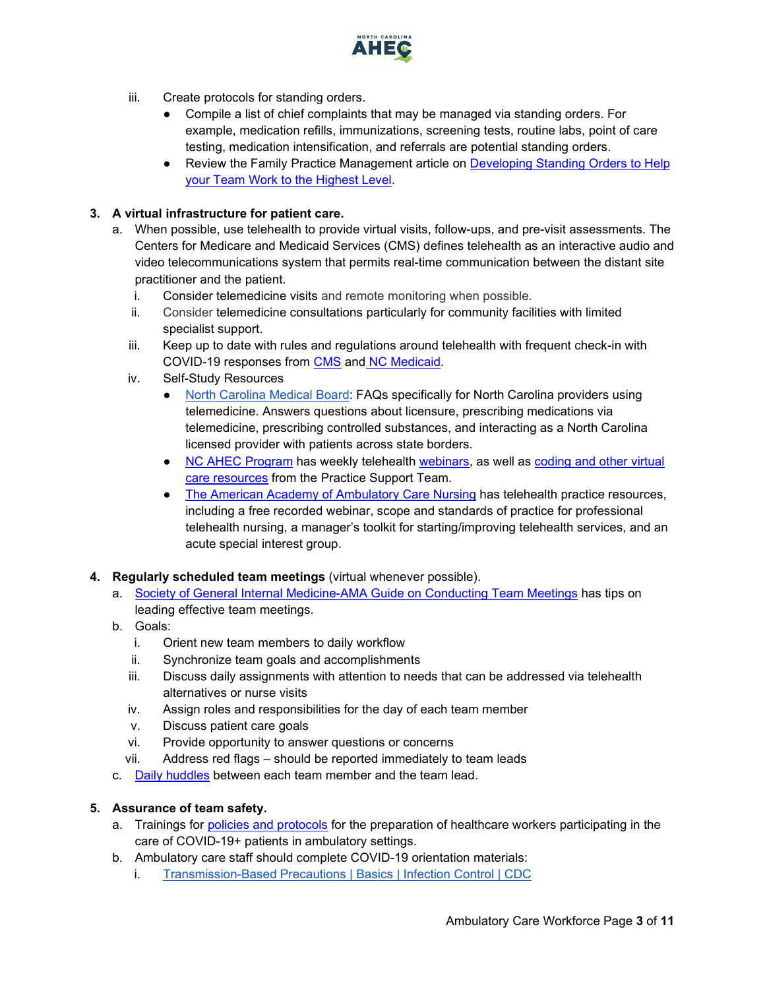

- iii. Create protocols for standing orders.
	- Compile a list of chief complaints that may be managed via standing orders. For example, medication refills, immunizations, screening tests, routine labs, point of care testing, medication intensification, and referrals are potential standing orders.
	- Review the Family Practice Management article on Developing Standing Orders to Help [your Team Work to the Highest Level.](https://www.aafp.org/fpm/2018/0500/p13.html#fpm20180500p13-ut1)

## **3. A virtual infrastructure for patient care.**

- a. When possible, use telehealth to provide virtual visits, follow-ups, and pre-visit assessments. The Centers for Medicare and Medicaid Services (CMS) defines telehealth as an interactive audio and video telecommunications system that permits real-time communication between the distant site practitioner and the patient.
	- i. Consider telemedicine visits and remote monitoring when possible.
	- ii. Consider telemedicine consultations particularly for community facilities with limited specialist support.
	- iii. Keep up to date with rules and regulations around telehealth with frequent check-in with COVID-19 responses from [CMS](https://www.cms.gov/About-CMS/Agency-Information/Emergency/EPRO/Current-Emergencies/Current-Emergencies-page) and [NC Medicaid.](https://medicaid.ncdhhs.gov/about-us/covid-19-guidance-and-resources/providers/covid-19-special-medicaid-bulletins)
	- iv. Self-Study Resources
		- [North Carolina Medical Board:](https://www.ncmedboard.org/resources-information/faqs/covid-19-telemedicine-faqs) FAQs specifically for North Carolina providers using telemedicine. Answers questions about licensure, prescribing medications via telemedicine, prescribing controlled substances, and interacting as a North Carolina licensed provider with patients across state borders.
		- [NC AHEC Program](https://www.ncahec.net/) has weekly telehealth [webinars,](https://www.ncahec.net/covid-19/webinars/) as well as coding and other virtual [care resources](https://www.ncahec.net/covid-19/telehealth-resources/) from the Practice Support Team.
		- [The American Academy of Ambulatory Care Nursing](https://www.aaacn.org/practice-resources/telehealth) has telehealth practice resources, including a free recorded webinar, scope and standards of practice for professional telehealth nursing, a manager's toolkit for starting/improving telehealth services, and an acute special interest group.
- **4. Regularly scheduled team meetings** (virtual whenever possible).
	- a. [Society of General Internal Medicine-AMA Guide on Conducting Team Meetings](https://edhub.ama-assn.org/steps-forward/module/2702508) has tips on leading effective team meetings.
	- b. Goals:
		- i. Orient new team members to daily workflow
		- ii. Synchronize team goals and accomplishments
		- iii. Discuss daily assignments with attention to needs that can be addressed via telehealth alternatives or nurse visits
		- iv. Assign roles and responsibilities for the day of each team member
		- v. Discuss patient care goals
		- vi. Provide opportunity to answer questions or concerns
		- vii. Address red flags should be reported immediately to team leads
	- c. [Daily huddles](https://nexusipe.org/informing/resource-center/huddle-coaching) between each team member and the team lead.

# <span id="page-2-0"></span>**5. Assurance of team safety.**

- a. Trainings for [policies and protocols](#page-1-1) for the preparation of healthcare workers participating in the care of COVID-19+ patients in ambulatory settings.
- b. Ambulatory care staff should complete COVID-19 orientation materials:
	- i. [Transmission-Based Precautions | Basics | Infection Control | CDC](https://www.cdc.gov/infectioncontrol/basics/transmission-based-precautions.html)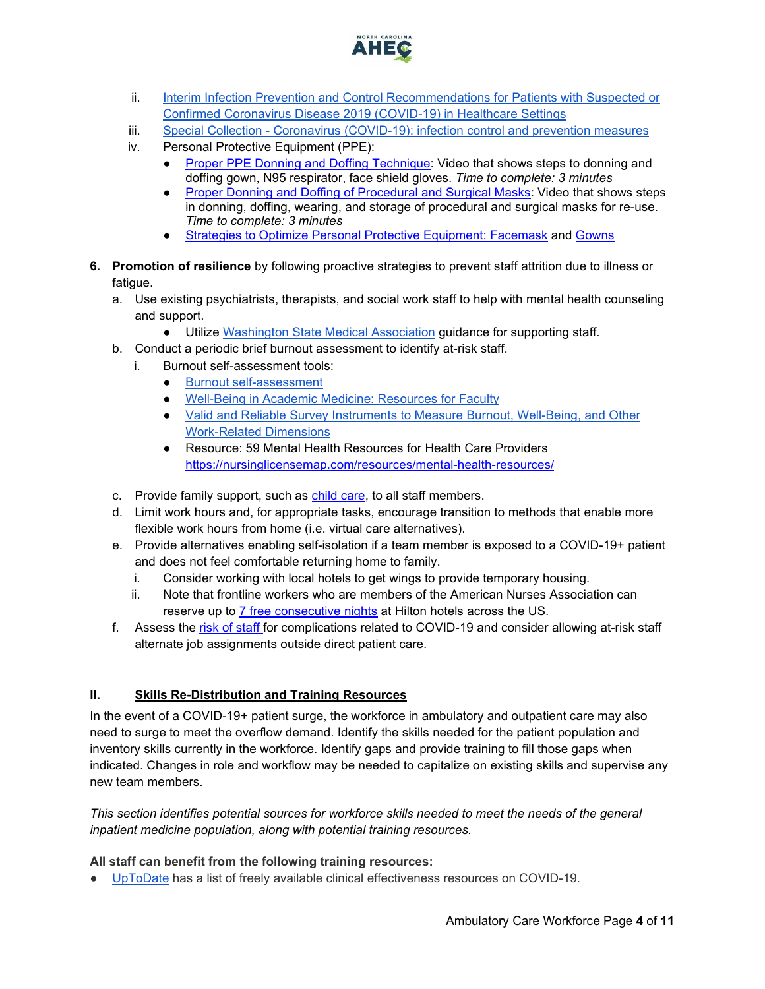<span id="page-3-1"></span>

- ii. Interim Infection Prevention and Control Recommendations for Patients with Suspected or [Confirmed Coronavirus Disease 2019 \(COVID-19\) in Healthcare Settings](https://www.cdc.gov/coronavirus/2019-ncov/hcp/infection-control-recommendations.html?CDC_AA_refVal=https%3A%2F%2Fwww.cdc.gov%2Fcoronavirus%2F2019-ncov%2Finfection-control%2Fcontrol-recommendations.html)
- iii. Special Collection [Coronavirus \(COVID-19\): infection control and prevention measures](https://www.cochranelibrary.com/collections/doi/SC000040/full)
- iv. Personal Protective Equipment (PPE):
	- [Proper PPE Donning and Doffing Technique:](https://www.youtube.com/watch?v=_lU9tUXhR_0&feature=youtu.be) Video that shows steps to donning and doffing gown, N95 respirator, face shield gloves. *Time to complete: 3 minutes*
	- [Proper Donning and Doffing of Procedural and Surgical Masks:](https://www.youtube.com/watch?v=z-5RYKLYvaw) Video that shows steps in donning, doffing, wearing, and storage of procedural and surgical masks for re-use. *Time to complete: 3 minutes*
	- [Strategies to Optimize Personal Protective Equipment: Facemask](https://files.nc.gov/ncdhhs/documents/files/covid-19/Long-Term-Care-Facemask-Use.pdf) and [Gowns](https://files.nc.gov/ncdhhs/documents/files/covid-19/Long-Term-Care-Toolkit-gown.pdf)
- **6. Promotion of resilience** by following proactive strategies to prevent staff attrition due to illness or fatigue.
	- a. Use existing psychiatrists, therapists, and social work staff to help with mental health counseling and support.
		- Utilize [Washington State Medical Association](https://wsma.org/WSMA/Resources/COVID-19/Care_for_the_Caregiver_During_COVID-19_Outbreak/care_for_the_caregiver_during_covid_19_outbreak.aspx) guidance for supporting staff.
	- b. Conduct a periodic brief burnout assessment to identify at-risk staff.
	- i. Burnout self-assessment tools:
		- [Burnout self-assessment](https://wellmd.stanford.edu/test-yourself.html)
		- [Well-Being in Academic Medicine: Resources for Faculty](https://www.aamc.org/news-insights/wellbeing/faculty)
		- [Valid and Reliable Survey Instruments to Measure Burnout, Well-Being, and Other](https://nam.edu/valid-reliable-survey-instruments-measure-burnout-well-work-related-dimensions/)  [Work-Related Dimensions](https://nam.edu/valid-reliable-survey-instruments-measure-burnout-well-work-related-dimensions/)
		- Resource: 59 Mental Health Resources for Health Care Providers <https://nursinglicensemap.com/resources/mental-health-resources/>
	- c. Provide family support, such as [child care,](https://www.ncdhhs.gov/divisions/public-health/covid19/child-care) to all staff members.
	- d. Limit work hours and, for appropriate tasks, encourage transition to methods that enable more flexible work hours from home (i.e. virtual care alternatives).
	- e. Provide alternatives enabling self-isolation if a team member is exposed to a COVID-19+ patient and does not feel comfortable returning home to family.
		- i. Consider working with local hotels to get wings to provide temporary housing.
		- ii. Note that frontline workers who are members of the American Nurses Association can reserve up to [7 free consecutive nights](https://ebiz.nursingworld.org/Login?returnurl=https://www.nursingworld.org/my-account/one-million-rooms/&SSOL=Y) at Hilton hotels across the US.
	- f. Assess the [risk of staff f](https://www.cdc.gov/coronavirus/2019-ncov/need-extra-precautions/people-at-higher-risk.html)or complications related to COVID-19 and consider allowing at-risk staff alternate job assignments outside direct patient care.

## <span id="page-3-0"></span>**II. Skills Re-Distribution and Training Resources**

In the event of a COVID-19+ patient surge, the workforce in ambulatory and outpatient care may also need to surge to meet the overflow demand. Identify the skills needed for the patient population and inventory skills currently in the workforce. Identify gaps and provide training to fill those gaps when indicated. Changes in role and workflow may be needed to capitalize on existing skills and supervise any new team members.

*This section identifies potential sources for workforce skills needed to meet the needs of the general inpatient medicine population, along with potential training resources.*

#### **All staff can benefit from the following training resources:**

● [UpToDate](https://www.uptodate.com/home/covid-19-access) has a list of freely available clinical effectiveness resources on COVID-19.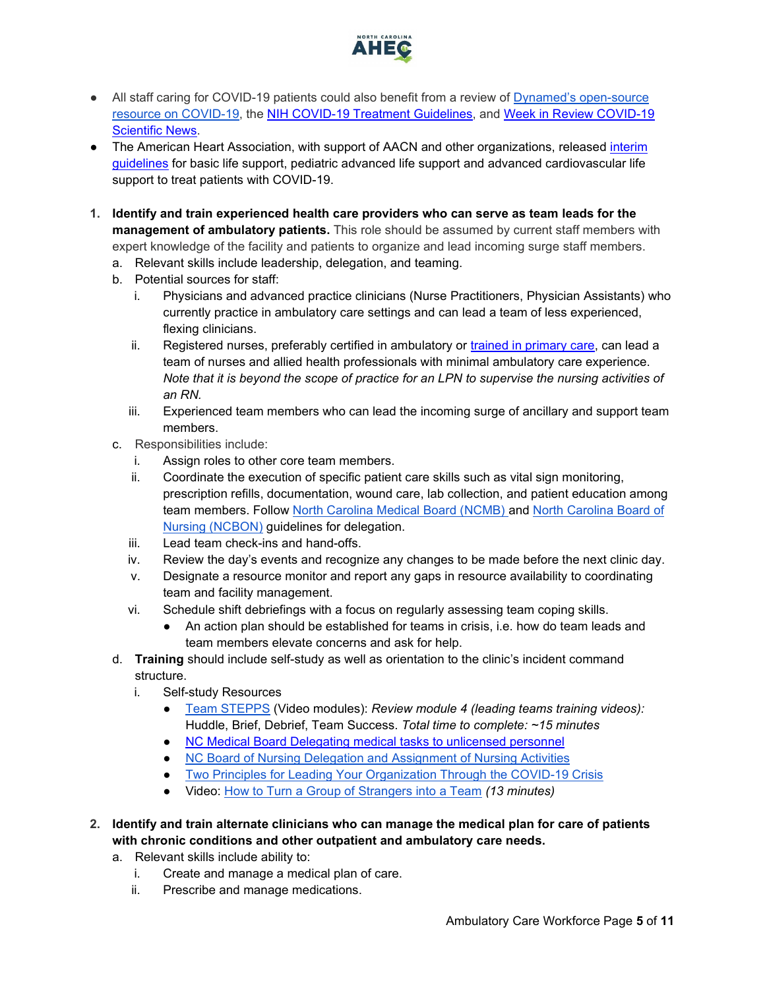

- All staff caring for COVID-19 patients could also benefit from a review of [Dynamed's open-source](https://www.dynamed.com/condition/covid-19-novel-coronavirus#GUID-5EDD59BC-2C0D-412E-8DAB-3F3D214D7406) [resource on COVID-19,](https://www.dynamed.com/condition/covid-19-novel-coronavirus#GUID-5EDD59BC-2C0D-412E-8DAB-3F3D214D7406) the [NIH COVID-19 Treatment Guidelines,](https://covid19treatmentguidelines.nih.gov/) and [Week in Review COVID-19](https://www.ncahec.net/covid-19/training-and-literature-for-health-care-professionals/)  [Scientific News.](https://www.ncahec.net/covid-19/training-and-literature-for-health-care-professionals/)
- The American Heart Association, with support of AACN and other organizations, released interim [guidelines](https://www.ahajournals.org/doi/10.1161/CIRCULATIONAHA.120.047463) [for basic life support, pediatric advanced life support and advanced cardiovascular life](https://www.ahajournals.org/doi/10.1161/CIRCULATIONAHA.120.047463)  [support to treat patients with COVID-19.](https://www.ahajournals.org/doi/10.1161/CIRCULATIONAHA.120.047463)
- <span id="page-4-0"></span>**1. Identify and train experienced health care providers who can serve as team leads for the management of ambulatory patients.** This role should be assumed by current staff members with expert knowledge of the facility and patients to organize and lead incoming surge staff members.
	- a. Relevant skills include leadership, delegation, and teaming.
	- b. Potential sources for staff:
		- i. Physicians and advanced practice clinicians (Nurse Practitioners, Physician Assistants) who currently practice in ambulatory care settings and can lead a team of less experienced, flexing clinicians.
		- ii. Registered nurses, preferably certified in ambulatory or [trained in primary care,](http://primarycare.web.unc.edu/) can lead a team of nurses and allied health professionals with minimal ambulatory care experience. *Note that it is beyond the scope of practice for an LPN to supervise the nursing activities of an RN.*
		- iii. Experienced team members who can lead the incoming surge of ancillary and support team members.
	- c. Responsibilities include:
		- i. Assign roles to other core team members.
		- ii. Coordinate the execution of specific patient care skills such as vital sign monitoring, prescription refills, documentation, wound care, lab collection, and patient education among team members. Follow [North Carolina Medical Board \(NCMB\) a](https://www.ncmedboard.org/resources-information/professional-resources/publications/forum-newsletter/article/delegating-medical-tasks-to-unlicensed-personnel)nd [North Carolina Board of](https://www.ncbon.com/vdownloads/position-statements-decision-trees/decision-tree-delegation-to-uap.pdf)  [Nu](https://www.ncbon.com/vdownloads/position-statements-decision-trees/decision-tree-delegation-to-uap.pdf)rsing (NCBON) guidelines for delegation.
		- iii. Lead team check-ins and hand-offs.
		- iv. Review the day's events and recognize any changes to be made before the next clinic day.
		- v. Designate a resource monitor and report any gaps in resource availability to coordinating team and facility management.
		- vi. Schedule shift debriefings with a focus on regularly assessing team coping skills.
			- An action plan should be established for teams in crisis, i.e. how do team leads and team members elevate concerns and ask for help.
	- d. **Training** should include self-study as well as orientation to the clinic's incident command structure.
		- i. Self-study Resources
			- [Team STEPPS](https://www.ahrq.gov/teamstepps/longtermcare/index.html) (Video modules): *Review module 4 (leading teams training videos):*  Huddle, Brief, Debrief, Team Success. *Total time to complete: ~15 minutes*
			- [NC Medical Board Delegating medical tasks to unlicensed personnel](https://www.ncmedboard.org/resources-information/professional-resources/publications/forum-newsletter/article/delegating-medical-tasks-to-unlicensed-personnel)
			- [NC Board of Nursing Delegation and Assignment of Nursing Activities](https://www.ncbon.com/vdownloads/position-statements-decision-trees/delegation-and-assignment-of-nursing-activities.pdf)
			- [Two Principles for Leading Your Organization Through the COVID-19 Crisis](https://insight.kellogg.northwestern.edu/article/two-principles-leading-organization-covid-19-crisis)
			- Video: [How to Turn a Group of Strangers into a Team](https://www.ted.com/talks/amy_edmondson_how_to_turn_a_group_of_strangers_into_a_team) *(13 minutes)*
- <span id="page-4-1"></span>**2. Identify and train alternate clinicians who can manage the medical plan for care of patients with chronic conditions and other outpatient and ambulatory care needs.**
	- a. Relevant skills include ability to:
		- i. Create and manage a medical plan of care.
		- ii. Prescribe and manage medications.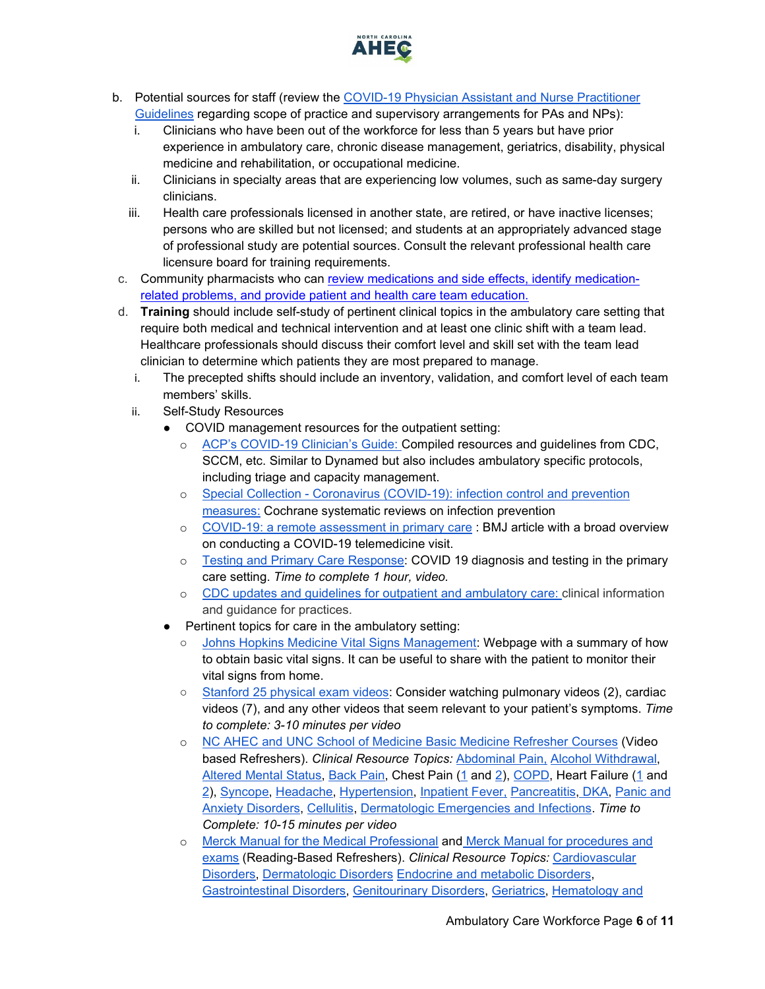

- b. Potential sources for staff (review the [COVID-19 Physician Assistant and Nurse Practitioner](https://www.ncmedboard.org/resources-information/faqs/covid-19-supervision-faqs)  [Guideli](https://www.ncmedboard.org/resources-information/faqs/covid-19-supervision-faqs)nes regarding scope of practice and supervisory arrangements for PAs and NPs):
	- i. Clinicians who have been out of the workforce for less than 5 years but have prior experience in ambulatory care, chronic disease management, geriatrics, disability, physical medicine and rehabilitation, or occupational medicine.
	- ii. Clinicians in specialty areas that are experiencing low volumes, such as same-day surgery clinicians.
	- iii. Health care professionals licensed in another state, are retired, or have inactive licenses; persons who are skilled but not licensed; and students at an appropriately advanced stage of professional study are potential sources. Consult the relevant professional health care licensure board for training requirements.
- c. Community pharmacists who can [review medications and side effects, identify medication](https://journals.lww.com/homehealthcarenurseonline/Fulltext/2013/02000/The_Role_of_a_Pharmacist_on_the_Home_Care_Team__A.6.aspx)[related problems, and provide patient and health care team education.](https://journals.lww.com/homehealthcarenurseonline/Fulltext/2013/02000/The_Role_of_a_Pharmacist_on_the_Home_Care_Team__A.6.aspx)
- <span id="page-5-0"></span>d. **Training** should include self-study of pertinent clinical topics in the ambulatory care setting that require both medical and technical intervention and at least one clinic shift with a team lead. Healthcare professionals should discuss their comfort level and skill set with the team lead clinician to determine which patients they are most prepared to manage.
	- i. The precepted shifts should include an inventory, validation, and comfort level of each team members' skills.
	- ii. Self-Study Resources
		- COVID management resources for the outpatient setting:
			- o [ACP's COVID-19 Clinician's Guide: C](https://assets.acponline.org/coronavirus/scormcontent/?&_ga=2.5648691.1012314021.1585845467-1073402165.1585845467#/)ompiled resources and guidelines from CDC, SCCM, etc. Similar to Dynamed but also includes ambulatory specific protocols, including triage and capacity management.
			- o Special Collection [Coronavirus \(COVID-19\): infection control and prevention](https://www.cochranelibrary.com/collections/doi/SC000040/full)  [measures:](https://www.cochranelibrary.com/collections/doi/SC000040/full) Cochrane systematic reviews on infection prevention
			- o [COVID-19: a remote assessment in primary care](https://www.bmj.com/content/368/bmj.m1182) : BMJ article with a broad overview on conducting a COVID-19 telemedicine visit.
			- o [Testing and Primary Care Response:](https://cdn.embedly.com/widgets/media.html?src=https%3A%2F%2Fwww.youtube.com%2Fembed%2FtXdvWplhpJU%3Ffeature%3Doembed&display_name=YouTube&url=https%3A%2F%2Fwww.youtube.com%2Fwatch%3Fv%3DtXdvWplhpJU&image=https%3A%2F%2Fi.ytimg.com%2Fvi%2FtXdvWplhpJU%2Fhqdefault.jpg&key=40cb30655a7f4a46adaaf18efb05db21&type=text%2Fhtml&schema=youtube) COVID 19 diagnosis and testing in the primary care setting. *Time to complete 1 hour, video.*
			- o [CDC updates and guidelines for outpatient and ambulatory care](https://www.cdc.gov/coronavirus/2019-ncov/hcp/ambulatory-care-settings.html): clinical information and guidance for practices.
		- Pertinent topics for care in the ambulatory setting:
			- [Johns Hopkins Medicine Vital Signs Management:](https://www.hopkinsmedicine.org/health/conditions-and-diseases/vital-signs-body-temperature-pulse-rate-respiration-rate-blood-pressure) Webpage with a summary of how to obtain basic vital signs. It can be useful to share with the patient to monitor their vital signs from home.
			- [Stanford 25 physical exam videos:](https://stanfordmedicine25.stanford.edu/videos.html) Consider watching pulmonary videos (2), cardiac videos (7), and any other videos that seem relevant to your patient's symptoms. *Time to complete: 3-10 minutes per video*
			- o [NC AHEC and UNC School of Medicine Basic Medicine Refresher Courses](https://www.ncahec.net/covid-19/training-and-literature-for-health-care-professionals/critical-care-skills/) (Video based Refreshers). *Clinical Resource Topics:* [Abdominal Pain,](https://www.youtube.com/watch?v=H9BDfxdLDs0&list=PLbBrVwE693Jld1yyiHmVdyv9vvlbNpC0W&index=2&t=0s) [Alcohol Withdrawal,](https://www.youtube.com/watch?v=rs-o38qM5D8&list=PLbBrVwE693Jld1yyiHmVdyv9vvlbNpC0W&index=3&t=0s) [Altered Mental Status,](https://www.youtube.com/watch?v=oLBPUvgDaqs&list=PLbBrVwE693Jld1yyiHmVdyv9vvlbNpC0W&index=4&t=0s) [Back Pain,](https://www.youtube.com/watch?v=jcNx-vcGbG4&list=PLbBrVwE693Jld1yyiHmVdyv9vvlbNpC0W&index=6&t=0s) Chest Pain [\(1](https://youtu.be/Vol78zmM_uA) and [2\)](https://youtu.be/QqvqVslQIBI)[,](https://www.youtube.com/watch?v=yHoDI8bF0Uw&list=PLbBrVwE693Jld1yyiHmVdyv9vvlbNpC0W&index=10&t=0s) [COPD,](https://www.youtube.com/watch?v=yHoDI8bF0Uw&list=PLbBrVwE693Jld1yyiHmVdyv9vvlbNpC0W&index=10&t=0s) Heart Failure (1 an[d](https://youtu.be/odNBjal8L5Y) [2\)](https://youtu.be/odNBjal8L5Y)[,](https://www.youtube.com/watch?v=3yzQMC_lV1c&list=PLbBrVwE693Jld1yyiHmVdyv9vvlbNpC0W&index=15&t=0s) [Syncope,](https://www.youtube.com/watch?v=3yzQMC_lV1c&list=PLbBrVwE693Jld1yyiHmVdyv9vvlbNpC0W&index=15&t=0s) [Headache,](https://www.youtube.com/watch?v=HiSX2eF1sJg&list=PLbBrVwE693Jld1yyiHmVdyv9vvlbNpC0W&index=12&t=0s) [Hypertension,](https://s3.amazonaws.com/aheconnect/hhn10/story_html5.html) [Inpatient Fever,](https://www.youtube.com/watch?v=etrItzpb6OU&list=PLbBrVwE693Jld1yyiHmVdyv9vvlbNpC0W&index=6) [Pancreatitis,](https://www.youtube.com/watch?v=A4_c0cW3q4Q&list=PLbBrVwE693Jld1yyiHmVdyv9vvlbNpC0W&index=16&t=0s) [DKA,](https://www.youtube.com/watch?v=ba0Iv21Bqnc&list=PLbBrVwE693Jld1yyiHmVdyv9vvlbNpC0W&index=19&t=0s) [Panic and](https://www.youtube.com/watch?v=BKRESLx89A0&list=PLbBrVwE693Jld1yyiHmVdyv9vvlbNpC0W&index=5&t=0s)  [Anxiety Disorders,](https://www.youtube.com/watch?v=BKRESLx89A0&list=PLbBrVwE693Jld1yyiHmVdyv9vvlbNpC0W&index=5&t=0s) [Cellulitis,](https://www.youtube.com/watch?v=Wh1wN5CHDSc&list=PLbBrVwE693Jld1yyiHmVdyv9vvlbNpC0W&index=8&t=0s) [Dermatologic Emergencies and Infections.](https://www.youtube.com/watch?v=Xa13FJWR54w&list=PLbBrVwE693Jld1yyiHmVdyv9vvlbNpC0W&index=17&t=0s) *Time to Complete: 10-15 minutes per video*
			- o Merck [Manual for the Medical Professional](https://www.merckmanuals.com/professional) and [Merck Manual for procedures and](https://www.merckmanuals.com/professional/pages-with-widgets/procedures-and-exams?mode=list)  [exams](https://www.merckmanuals.com/professional/pages-with-widgets/procedures-and-exams?mode=list) (Reading-Based Refreshers). *Clinical Resource Topics:* [Cardiovascular](https://www.merckmanuals.com/professional/cardiovascular-disorders)  [Disorders,](https://www.merckmanuals.com/professional/cardiovascular-disorders) [Dermatologic Disorders](https://www.merckmanuals.com/professional/dermatologic-disorders) [Endocrine and metabolic Disorders](https://www.merckmanuals.com/professional/endocrine-and-metabolic-disorders)[,](https://www.merckmanuals.com/professional/gastrointestinal-disorders) [Gastrointestinal Disorders,](https://www.merckmanuals.com/professional/gastrointestinal-disorders) [Genitourinary Disorders,](https://www.merckmanuals.com/professional/gastrointestinal-disorders) [Geriatrics,](https://www.merckmanuals.com/professional/geriatrics) [Hematology and](https://www.merckmanuals.com/professional/hematology-and-oncology)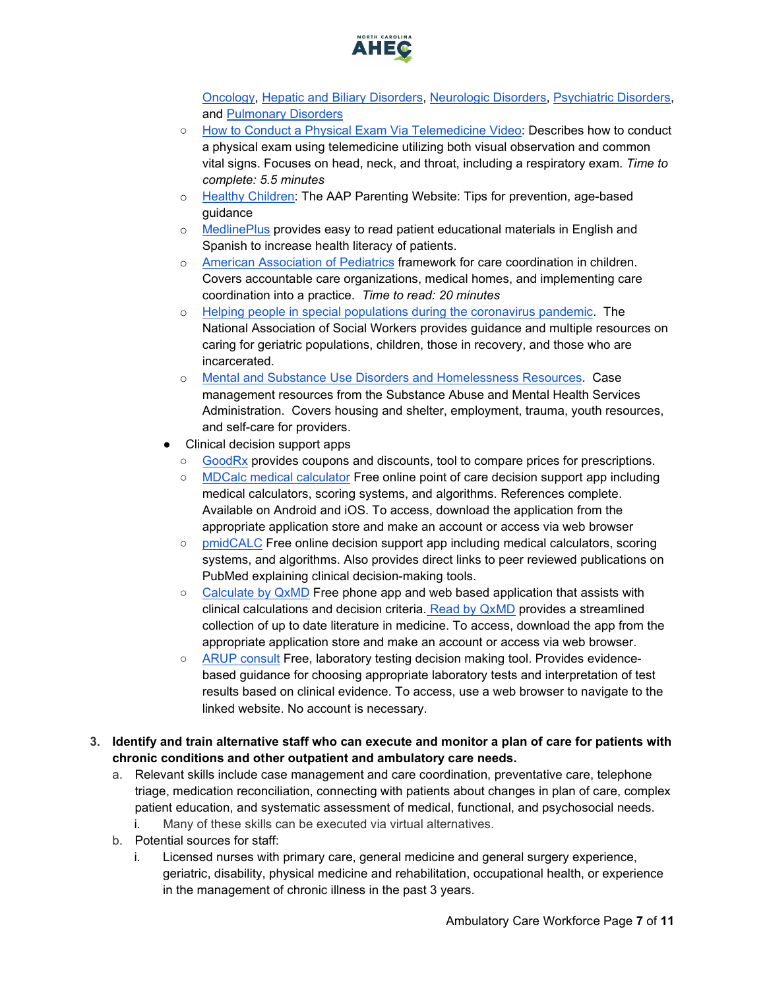

[Oncology,](https://www.merckmanuals.com/professional/hematology-and-oncology) [Hepatic and Biliary Disorders,](https://www.merckmanuals.com/professional/hepatic-and-biliary-disorders) [Neurologic Disorders,](https://www.merckmanuals.com/professional/neurologic-disorders) [Psychiatric Disorders,](https://www.merckmanuals.com/professional/psychiatric-disorders) an[d](https://www.merckmanuals.com/professional/pulmonary-disorders) [Pulmonary Disorders](https://www.merckmanuals.com/professional/pulmonary-disorders)

- [How to Conduct a Physical Exam Via Telemedicine Video:](https://www.youtube.com/watch?v=4hRObfNyDvc) Describes how to conduct a physical exam using telemedicine utilizing both visual observation and common vital signs. Focuses on head, neck, and throat, including a respiratory exam. *Time to complete: 5.5 minutes*
- o [Healthy Children:](https://www.healthychildren.org/) The AAP Parenting Website: Tips for prevention, age-based guidance
- o [MedlinePlus](https://medlineplus.gov/all_easytoread.html) provides easy to read patient educational materials in English and Spanish to increase health literacy of patients.
- o [American Association of Pediatrics](https://pediatrics.aappublications.org/content/133/5/e1451?ijkey=4917e10942a2a1a33c329f76fc1d3689bf1c9c4d&keytype2=tf_ipsecsha) framework for care coordination in children. Covers accountable care organizations, medical homes, and implementing care coordination into a practice. *Time to read: 20 minutes*
- o [Helping people in special populations during the coronavirus pandemic.](https://www.socialworkers.org/Practice/Infectious-Diseases/Coronavirus/Helping-People-in-Special-Populations) The National Association of Social Workers provides guidance and multiple resources on caring for geriatric populations, children, those in recovery, and those who are incarcerated.
- o [Mental and Substance Use Disorders and Homelessness Resources.](https://www.samhsa.gov/homelessness-programs-resources/hpr-resources/case-management) Case management resources from the Substance Abuse and Mental Health Services Administration. Covers housing and shelter, employment, trauma, youth resources, and self-care for providers.
- Clinical decision support apps
	- [GoodRx](https://www.goodrx.com/) provides coupons and discounts, tool to compare prices for prescriptions.
	- [MDCalc medical calculator](https://www.mdcalc.com/) Free online point of care decision support app including medical calculators, scoring systems, and algorithms. References complete. Available on Android and iOS. To access, download the application from the appropriate application store and make an account or access via web browser
	- [pmidCALC](http://www.pmidcalc.org/en/) Free online decision support app including medical calculators, scoring systems, and algorithms. Also provides direct links to peer reviewed publications on PubMed explaining clinical decision-making tools.
	- [Calculate by QxMD](https://qxmd.com/calculate/) Free phone app and web based application that assists with clinical calculations and decision criteria. [Read by QxMD](https://read.qxmd.com/) provides a streamlined collection of up to date literature in medicine. To access, download the app from the appropriate application store and make an account or access via web browser.
	- [ARUP consult](https://arupconsult.com/) Free, laboratory testing decision making tool. Provides evidencebased guidance for choosing appropriate laboratory tests and interpretation of test results based on clinical evidence. To access, use a web browser to navigate to the linked website. No account is necessary.
- <span id="page-6-0"></span>**3. Identify and train alternative staff who can execute and monitor a plan of care for patients with chronic conditions and other outpatient and ambulatory care needs.** 
	- a. Relevant skills include case management and care coordination, preventative care, telephone triage, medication reconciliation, connecting with patients about changes in plan of care, complex patient education, and systematic assessment of medical, functional, and psychosocial needs. i. Many of these skills can be executed via virtual alternatives.
	- b. Potential sources for staff:
		- Licensed nurses with primary care, general medicine and general surgery experience, geriatric, disability, physical medicine and rehabilitation, occupational health, or experience in the management of chronic illness in the past 3 years.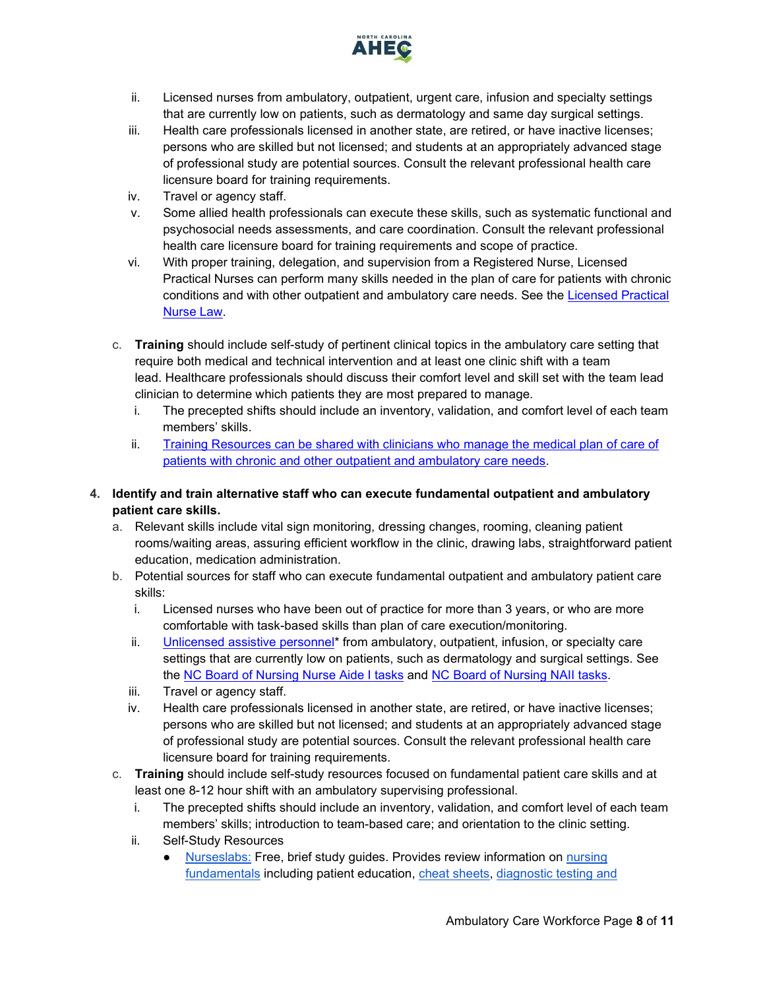

- ii. Licensed nurses from ambulatory, outpatient, urgent care, infusion and specialty settings that are currently low on patients, such as dermatology and same day surgical settings.
- iii. Health care professionals licensed in another state, are retired, or have inactive licenses; persons who are skilled but not licensed; and students at an appropriately advanced stage of professional study are potential sources. Consult the relevant professional health care licensure board for training requirements.
- iv. Travel or agency staff.
- v. Some allied health professionals can execute these skills, such as systematic functional and psychosocial needs assessments, and care coordination. Consult the relevant professional health care licensure board for training requirements and scope of practice.
- vi. With proper training, delegation, and supervision from a Registered Nurse, Licensed Practical Nurses can perform many skills needed in the plan of care for patients with chronic conditions and with other outpatient and ambulatory care needs. See the Licensed Practical [Nurse Law.](https://www4.ncleg.net/enactedlegislation/statutes/html/bysection/chapter_90/gs_90-171.20.html)
- c. **Training** should include self-study of pertinent clinical topics in the ambulatory care setting that require both medical and technical intervention and at least one clinic shift with a team lead. Healthcare professionals should discuss their comfort level and skill set with the team lead clinician to determine which patients they are most prepared to manage.
	- i. The precepted shifts should include an inventory, validation, and comfort level of each team members' skills.
	- ii. [Training Resources can be shared with clinicians who manage the medical plan of care of](#page-5-0)  [patients with chronic and other outpatient and ambulatory care needs.](#page-5-0)

#### <span id="page-7-0"></span>**4. Identify and train alternative staff who can execute fundamental outpatient and ambulatory patient care skills.**

- a. Relevant skills include vital sign monitoring, dressing changes, rooming, cleaning patient rooms/waiting areas, assuring efficient workflow in the clinic, drawing labs, straightforward patient education, medication administration.
- b. Potential sources for staff who can execute fundamental outpatient and ambulatory patient care skills:
	- i. Licensed nurses who have been out of practice for more than 3 years, or who are more comfortable with task-based skills than plan of care execution/monitoring.
	- ii. [Unlicensed assistive personnel\\*](https://www.ncbon.com/practice-nurse-aides-information-rules) from ambulatory, outpatient, infusion, or specialty care settings that are currently low on patients, such as dermatology and surgical settings. See the [NC Board of Nursing Nurse Aide I tasks](https://www.ncbon.com/practice-nurse-aides-nurse-aide-i-tasks) and [NC Board of Nursing NAII tasks.](https://www.ncbon.com/practice-nurse-aides-nurse-aide-ii-tasks)
	- iii. Travel or agency staff.
	- iv. Health care professionals licensed in another state, are retired, or have inactive licenses; persons who are skilled but not licensed; and students at an appropriately advanced stage of professional study are potential sources. Consult the relevant professional health care licensure board for training requirements.
- c. **Training** should include self-study resources focused on fundamental patient care skills and at least one 8-12 hour shift with an ambulatory supervising professional.
	- i. The precepted shifts should include an inventory, validation, and comfort level of each team members' skills; introduction to team-based care; and orientation to the clinic setting.
	- ii. Self-Study Resources
		- [Nurseslabs:](https://nurseslabs.com/category/nursing-notes/medical-surgical-nursing/) Free, brief study guides. Provides review information on nursing [fundamentals](https://nurseslabs.com/category/nursing-notes/fundamentals-of-nursing/) including patient education, [cheat sheets,](https://nurseslabs.com/tag/cheat-sheets/) [diagnostic testing and](https://nurseslabs.com/category/nursing-notes/diagnostic-tests/)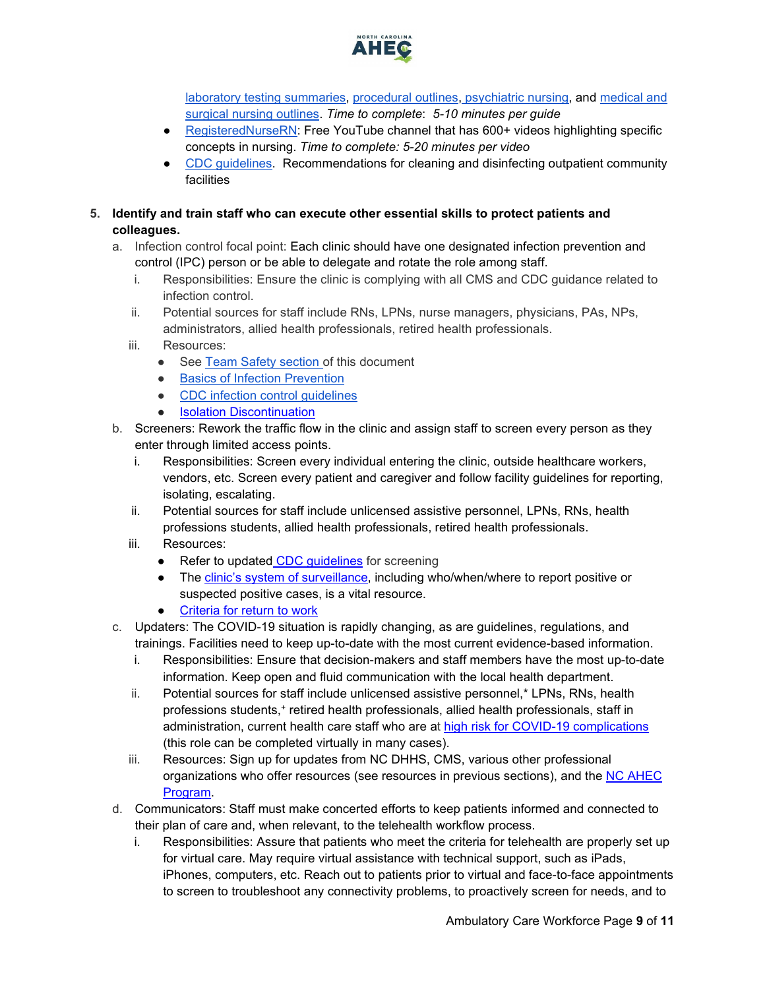

[laboratory testing summaries,](https://nurseslabs.com/category/nursing-notes/diagnostic-tests/) [procedural outlines,](https://nurseslabs.com/category/nursing-notes/fundamentals-of-nursing/nursing-procedures/) [psychiatric nursing,](https://nurseslabs.com/category/nursing-notes/psychiatric-nursing/) and [medical and](https://nurseslabs.com/category/nursing-notes/medical-surgical-nursing/)  [surgical nursing outlines.](https://nurseslabs.com/category/nursing-notes/medical-surgical-nursing/) *Time to complete*: *5-10 minutes per guide*

- [RegisteredNurseRN:](https://www.youtube.com/user/RegisteredNurseRN/playlists) Free YouTube channel that has 600+ videos highlighting specific concepts in nursing. *Time to complete: 5-20 minutes per video*
- [CDC guidelines.](https://www.cdc.gov/coronavirus/2019-ncov/community/organizations/cleaning-disinfection.html) Recommendations for cleaning and disinfecting outpatient community facilities
- <span id="page-8-0"></span>**5. Identify and train staff who can execute other essential skills to protect patients and colleagues.**
	- a. Infection control focal point: Each clinic should have one designated infection prevention and control (IPC) person or be able to delegate and rotate the role among staff.
		- i. Responsibilities: Ensure the clinic is complying with all CMS and CDC guidance related to infection control.
		- ii. Potential sources for staff include RNs, LPNs, nurse managers, physicians, PAs, NPs, administrators, allied health professionals, retired health professionals.
		- iii. Resources:
			- See [Team Safety section o](#page-2-0)f this document
			- [Basics of Infection Prevention](https://vimeo.com/336724350)
			- [CDC infection control guidelines](https://www.cdc.gov/coronavirus/2019-ncov/prevent-getting-sick/prevention.html)
			- [Isolation Discontinuation](https://www.cdc.gov/coronavirus/2019-ncov/hcp/disposition-hospitalized-patients.html)
	- b. Screeners: Rework the traffic flow in the clinic and assign staff to screen every person as they enter through limited access points.
		- i. Responsibilities: Screen every individual entering the clinic, outside healthcare workers, vendors, etc. Screen every patient and caregiver and follow facility guidelines for reporting, isolating, escalating.
		- ii. Potential sources for staff include unlicensed assistive personnel, LPNs, RNs, health professions students, allied health professionals, retired health professionals.
		- iii. Resources:
			- Refer to updated [CDC guidelines](https://www.cdc.gov/coronavirus/2019-ncov/hcp/clinic-preparedness.html) for screening
			- The [clinic's system of surveillance,](#page-1-1) including who/when/where to report positive or suspected positive cases, is a vital resource.
			- [Criteria for return to work](https://www.cdc.gov/coronavirus/2019-ncov/hcp/return-to-work.html)
	- c. Updaters: The COVID-19 situation is rapidly changing, as are guidelines, regulations, and trainings. Facilities need to keep up-to-date with the most current evidence-based information.
		- i. Responsibilities: Ensure that decision-makers and staff members have the most up-to-date information. Keep open and fluid communication with the local health department.
		- ii. Potential sources for staff include unlicensed assistive personnel,\* LPNs, RNs, health professions students,<sup>+</sup> retired health professionals, allied health professionals, staff in administration, current health care staff who are at high risk for COVID-19 complications (this role can be completed virtually in many cases).
		- iii. Resources: Sign up for updates from NC DHHS, CMS, various other professional organizations who offer resources (see resources in previous sections), and the NC AHEC [Program.](https://www.ncahec.net/covid-19/webinars/)
	- d. Communicators: Staff must make concerted efforts to keep patients informed and connected to their plan of care and, when relevant, to the telehealth workflow process.
		- i. Responsibilities: Assure that patients who meet the criteria for telehealth are properly set up for virtual care. May require virtual assistance with technical support, such as iPads, iPhones, computers, etc. Reach out to patients prior to virtual and face-to-face appointments to screen to troubleshoot any connectivity problems, to proactively screen for needs, and to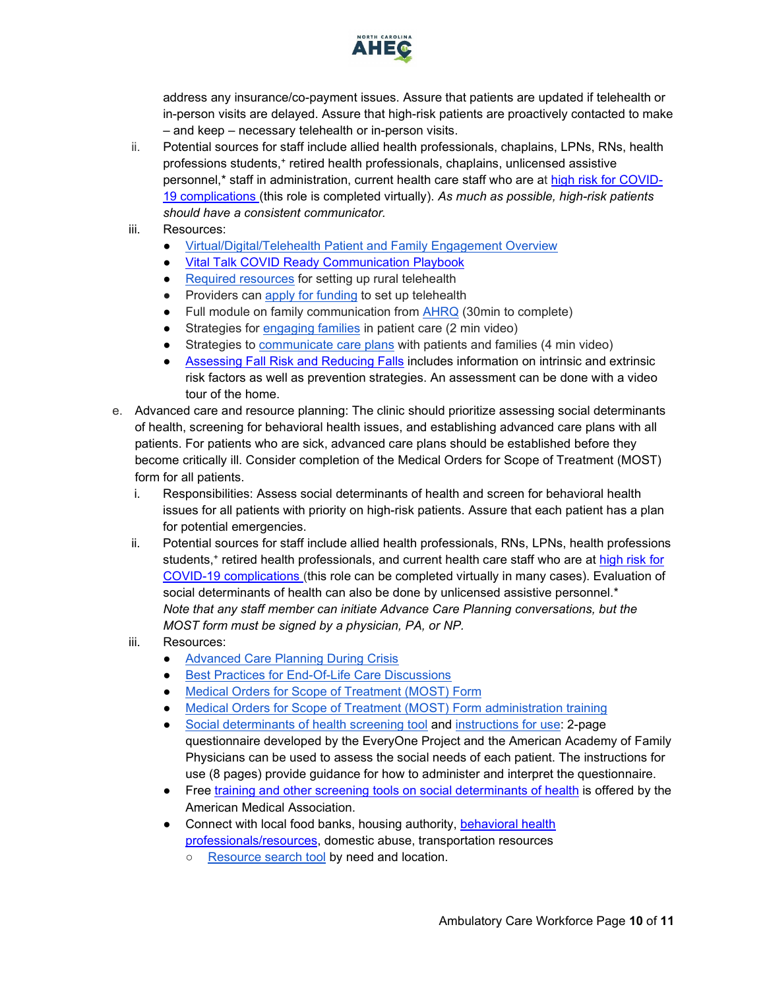

address any insurance/co-payment issues. Assure that patients are updated if telehealth or in-person visits are delayed. Assure that high-risk patients are proactively contacted to make – and keep – necessary telehealth or in-person visits.

- ii. Potential sources for staff include allied health professionals, chaplains, LPNs, RNs, health professions students,+ retired health professionals, chaplains, unlicensed assistive personnel,\* staff in administration, current health care staff who are at [high risk for COVID-](https://www.cdc.gov/coronavirus/2019-ncov/need-extra-precautions/people-at-higher-risk.html)[19 complications \(](https://www.cdc.gov/coronavirus/2019-ncov/need-extra-precautions/people-at-higher-risk.html)this role is completed virtually). *As much as possible, high-risk patients should have a consistent communicator.*
- iii. Resources:
	- [Virtual/Digital/Telehealth Patient and Family Engagement Overview](https://www.healthit.gov/sites/default/files/playbook/pdf/nlc-secure-messaging-fact-sheet.pdf)
	- **Vital Talk COVID Ready Communication Playbook**
	- [Required resources](https://www.ruralhealthinfo.org/toolkits/telehealth/4/resources-needed) for setting up rural telehealth
	- Providers can [apply for funding](https://www.fcc.gov/document/guidance-covid-19-telehealth-program-application-process) to set up telehealth
	- Full module on family communication from [AHRQ](https://www.ahrq.gov/hai/quality/tools/cauti-ltc/modules/implementation/long-term-modules/module5/mod5-facguide.html) (30min to complete)
	- Strategies for [engaging families](https://www.youtube.com/watch?v=U3gyL_p7FyA&feature=youtu.be) in patient care (2 min video)
	- Strategies to [communicate care plans](https://www.youtube.com/watch?v=cavAprwMeG0&feature=youtu.be) with patients and families (4 min video)
	- [Assessing Fall Risk and Reducing Falls](https://www.nursingcenter.com/clinical-resources/nursing-pocket-cards/assessing-fall-risk-and-reducing-falls) includes information on intrinsic and extrinsic risk factors as well as prevention strategies. An assessment can be done with a video tour of the home.
- e. Advanced care and resource planning: The clinic should prioritize assessing social determinants of health, screening for behavioral health issues, and establishing advanced care plans with all patients. For patients who are sick, advanced care plans should be established before they become critically ill. Consider completion of the Medical Orders for Scope of Treatment (MOST) form for all patients.
	- i. Responsibilities: Assess social determinants of health and screen for behavioral health issues for all patients with priority on high-risk patients. Assure that each patient has a plan for potential emergencies.
	- ii. Potential sources for staff include allied health professionals, RNs, LPNs, health professions students,<sup>+</sup> retired health professionals, and current health care staff who are at high risk for [COVID-19 complications \(](https://www.cdc.gov/coronavirus/2019-ncov/need-extra-precautions/people-at-higher-risk.html)this role can be completed virtually in many cases). Evaluation of social determinants of health can also be done by unlicensed assistive personnel.\* *Note that any staff member can initiate Advance Care Planning conversations, but the MOST form must be signed by a physician, PA, or NP.*
	- iii. Resources:
		- **[Advanced Care Planning During Crisis](https://youtu.be/F_cS89aa0DE)**
		- [Best Practices for End-Of-Life Care Discussions](https://www.ncbi.nlm.nih.gov/pmc/articles/PMC1495357/)
		- Medical Orders for Scope of Treatment (MOST) Form
		- [Medical Orders for Scope of Treatment \(MOST\) Form administration training](https://info.ncdhhs.gov/dhsr/EMS/dnrmost.html)
		- [Social determinants of health screening tool](https://www.aafp.org/dam/AAFP/documents/patient_care/everyone_project/hops19-physician-form-sdoh.pdf) and [instructions for use:](https://www.aafp.org/dam/AAFP/documents/patient_care/everyone_project/hops19-physician-guide-sdoh.pdf) 2-page questionnaire developed by the EveryOne Project and the American Academy of Family Physicians can be used to assess the social needs of each patient. The instructions for use (8 pages) provide guidance for how to administer and interpret the questionnaire.
		- Free [training and other screening tools on social determinants of health](https://www.aapc.com/blog/47444-free-online-training-on-social-determinants-of-health/) is offered by the American Medical Association.
		- Connect with local food banks, housing authority, behavioral health [professionals/resources,](https://www.ncdhhs.gov/divisions/public-health/covid19/managing-your-overall-health) domestic abuse, transportation resources
			- [Resource search tool](https://www.nc211.org/find-help) by need and location.